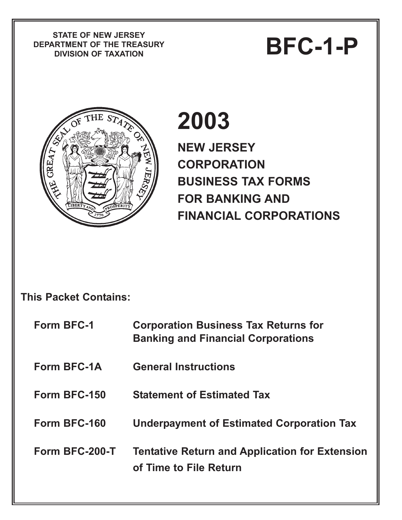**STATE OF NEW JERSEY DEPARTMENT OF THE TREASURY** PIATE OF NEW JERSET<br>RTMENT OF THE TREASURY<br>DIVISION OF TAXATION



# **2003**

**NEW JERSEY CORPORATION BUSINESS TAX FORMS FOR BANKING AND FINANCIAL CORPORATIONS** 

## **This Packet Contains:**

| <b>Form BFC-1</b>  | <b>Corporation Business Tax Returns for</b><br><b>Banking and Financial Corporations</b> |
|--------------------|------------------------------------------------------------------------------------------|
| <b>Form BFC-1A</b> | <b>General Instructions</b>                                                              |
| Form BFC-150       | <b>Statement of Estimated Tax</b>                                                        |
| Form BFC-160       | <b>Underpayment of Estimated Corporation Tax</b>                                         |
| Form BFC-200-T     | <b>Tentative Return and Application for Extension</b><br>of Time to File Return          |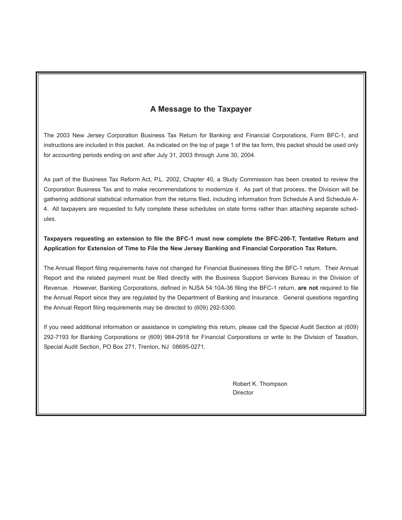#### **A Message to the Taxpayer**

The 2003 New Jersey Corporation Business Tax Return for Banking and Financial Corporations, Form BFC-1, and instructions are included in this packet. As indicated on the top of page 1 of the tax form, this packet should be used only for accounting periods ending on and after July 31, 2003 through June 30, 2004.

As part of the Business Tax Reform Act, P.L. 2002, Chapter 40, a Study Commission has been created to review the Corporation Business Tax and to make recommendations to modernize it. As part of that process, the Division will be gathering additional statistical information from the returns filed, including information from Schedule A and Schedule A-4. All taxpayers are requested to fully complete these schedules on state forms rather than attaching separate schedules.

**Taxpayers requesting an extension to file the BFC-1 must now complete the BFC-200-T, Tentative Return and Application for Extension of Time to File the New Jersey Banking and Financial Corporation Tax Return.**

The Annual Report filing requirements have not changed for Financial Businesses filing the BFC-1 return. Their Annual Report and the related payment must be filed directly with the Business Support Services Bureau in the Division of Revenue. However, Banking Corporations, defined in NJSA 54:10A-36 filing the BFC-1 return, **are not** required to file the Annual Report since they are regulated by the Department of Banking and Insurance. General questions regarding the Annual Report filing requirements may be directed to (609) 292-5300.

If you need additional information or assistance in completing this return, please call the Special Audit Section at (609) 292-7193 for Banking Corporations or (609) 984-2918 for Financial Corporations or write to the Division of Taxation, Special Audit Section, PO Box 271, Trenton, NJ 08695-0271.

> Robert K. Thompson **Director**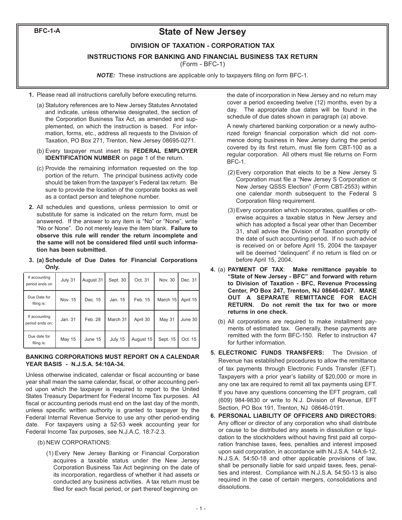**BFC-1-A**

### **State of New Jersey**

#### **DIVISION OF TAXATION - CORPORATION TAX**

**INSTRUCTIONS FOR BANKING AND FINANCIAL BUSINESS TAX RETURN**

(Form - BFC-1)

*NOTE:* These instructions are applicable only to taxpayers filing on form BFC-1.

- **1.** Please read all instructions carefully before executing returns.
	- (a) Statutory references are to New Jersey Statutes Annotated and indicate, unless otherwise designated, the section of the Corporation Business Tax Act, as amended and supplemented, on which the instruction is based. For information, forms, etc., address all requests to the Division of Taxation, PO Box 271, Trenton, New Jersey 08695-0271.
	- (b) Every taxpayer must insert its **FEDERAL EMPLOYER IDENTIFICATION NUMBER** on page 1 of the return.
	- (c) Provide the remaining information requested on the top portion of the return. The principal business activity code should be taken from the taxpayer's Federal tax return. Be sure to provide the location of the corporate books as well as a contact person and telephone number.
- **2.** All schedules and questions, unless permission to omit or substitute for same is indicated on the return form, must be answered. If the answer to any item is "No" or "None", write "No or None". Do not merely leave the item blank. **Failure to observe this rule will render the return incomplete and the same will not be considered filed until such information has been submitted.**
- **3. (a) Schedule of Due Dates for Financial Corporations Only.**

| If accounting<br>period ends on  | July 31 | August 31 | Sept. 30 | Oct. 31   | Nov. 30       | Dec. 31  |
|----------------------------------|---------|-----------|----------|-----------|---------------|----------|
| Due Date for<br>filing is:       | Nov. 15 | Dec. 15   | Jan. 15  | Feb. 15   | March 15      | April 15 |
| If accounting<br>period ends on: | Jan. 31 | Feb. 28   | March 31 | April 30  | <b>May 31</b> | June 30  |
| Due date for<br>filing is:       | May 15  | June 15   | July 15  | August 15 | Sept. 15      | Oct. 15  |

#### **BANKING CORPORATIONS MUST REPORT ON A CALENDAR YEAR BASIS - N.J.S.A. 54:10A-34.**

Unless otherwise indicated, calendar or fiscal accounting or base year shall mean the same calendar, fiscal, or other accounting period upon which the taxpayer is required to report to the United States Treasury Department for Federal Income Tax purposes. All fiscal or accounting periods must end on the last day of the month, unless specific written authority is granted to taxpayer by the Federal Internal Revenue Service to use any other period-ending date. For taxpayers using a 52-53 week accounting year for Federal Income Tax purposes, see N.J.A.C. 18:7-2.3.

- (b) NEW CORPORATIONS:
	- (1) Every New Jersey Banking or Financial Corporation acquires a taxable status under the New Jersey Corporation Business Tax Act beginning on the date of its incorporation, regardless of whether it had assets or conducted any business activities. A tax return must be filed for each fiscal period, or part thereof beginning on

the date of incorporation in New Jersey and no return may cover a period exceeding twelve (12) months, even by a day. The appropriate due dates will be found in the schedule of due dates shown in paragraph (a) above.

A newly chartered banking corporation or a newly authorized foreign financial corporation which did not commence doing business in New Jersey during the period covered by its first return, must file form CBT-100 as a regular corporation. All others must file returns on Form BFC-1.

- (2) Every corporation that elects to be a New Jersey S Corporation must file a "New Jersey S Corporation or New Jersey QSSS Election" (Form CBT-2553) within one calendar month subsequent to the Federal S Corporation filing requirement.
- (3) Every corporation which incorporates, qualifies or otherwise acquires a taxable status in New Jersey and which has adopted a fiscal year other than December 31, shall advise the Division of Taxation promptly of the date of such accounting period. If no such advice is received on or before April 15, 2004 the taxpayer will be deemed "delinquent" if no return is filed on or before April 15, 2004.
- **4.** (a) **PAYMENT OF TAX**: **Make remittance payable to "State of New Jersey - BFC" and forward with return to Division of Taxation - BFC, Revenue Processing Center, PO Box 247, Trenton, NJ 08646-0247. MAKE OUT A SEPARATE REMITTANCE FOR EACH RETURN. Do not remit the tax for two or more returns in one check.**
	- (b) All corporations are required to make installment payments of estimated tax. Generally, these payments are remitted with the form BFC-150. Refer to instruction 47 for further information.
- **5. ELECTRONIC FUNDS TRANSFERS:** The Division of Revenue has established procedures to allow the remittance of tax payments through Electronic Funds Transfer (EFT). Taxpayers with a prior year's liability of \$20,000 or more in any one tax are required to remit all tax payments using EFT. If you have any questions concerning the EFT program, call (609) 984-9830 or write to N.J. Division of Revenue, EFT Section, PO Box 191, Trenton, NJ 08646-0191.
- **6. PERSONAL LIABILITY OF OFFICERS AND DIRECTORS:** Any officer or director of any corporation who shall distribute or cause to be distributed any assets in dissolution or liquidation to the stockholders without having first paid all corporation franchise taxes, fees, penalties and interest imposed upon said corporation, in accordance with N.J.S.A. 14A:6-12, N.J.S.A. 54:50-18 and other applicable provisions of law, shall be personally liable for said unpaid taxes, fees, penalties and interest. Compliance with N.J.S.A. 54:50-13 is also required in the case of certain mergers, consolidations and dissolutions.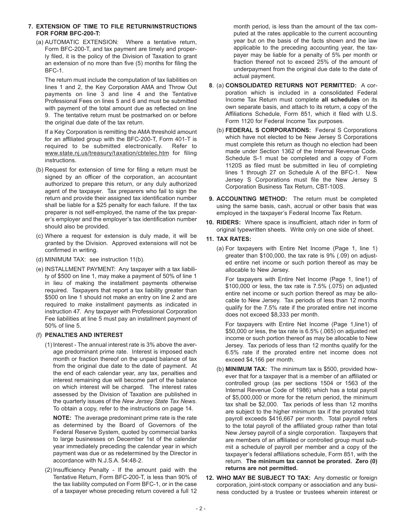#### **7. EXTENSION OF TIME TO FILE RETURN/INSTRUCTIONS FOR FORM BFC-200-T:**

(a) AUTOMATIC EXTENSION: Where a tentative return, Form BFC-200-T, and tax payment are timely and properly filed, it is the policy of the Division of Taxation to grant an extension of no more than five (5) months for filing the BFC-1.

The return must include the computation of tax liabilities on lines 1 and 2, the Key Corporation AMA and Throw Out payments on line 3 and line 4 and the Tentative Professional Fees on lines 5 and 6 and must be submitted with payment of the total amount due as reflected on line 9. The tentative return must be postmarked on or before the original due date of the tax return.

If a Key Corporation is remitting the AMA threshold amount for an affiliated group with the BFC-200-T, Form 401-T is required to be submitted electronically. Refer to [www.state.nj.us/treasury/taxation/cbtelec.htm](www.state.nj.us/treasury/taxation/cbtelec.shtml) for filing instructions.

- (b) Request for extension of time for filing a return must be signed by an officer of the corporation, an accountant authorized to prepare this return, or any duly authorized agent of the taxpayer. Tax preparers who fail to sign the return and provide their assigned tax identification number shall be liable for a \$25 penalty for each failure. If the tax preparer is not self-employed, the name of the tax preparer's employer and the employer's tax identification number should also be provided.
- (c) Where a request for extension is duly made, it will be granted by the Division. Approved extensions will not be confirmed in writing.
- (d) MINIMUM TAX: see instruction 11(b).
- (e) INSTALLMENT PAYMENT: Any taxpayer with a tax liability of \$500 on line 1, may make a payment of 50% of line 1 in lieu of making the installment payments otherwise required. Taxpayers that report a tax liability greater than \$500 on line 1 should not make an entry on line 2 and are required to make installment payments as indicated in instruction 47. Any taxpayer with Professional Corporation Fee liabilities at line 5 must pay an installment payment of 50% of line 5.

#### (f) **PENALTIES AND INTEREST**

(1) Interest - The annual interest rate is 3% above the average predominant prime rate. Interest is imposed each month or fraction thereof on the unpaid balance of tax from the original due date to the date of payment. At the end of each calendar year, any tax, penalties and interest remaining due will become part of the balance on which interest will be charged. The interest rates assessed by the Division of Taxation are published in the quarterly issues of the *New Jersey State Tax News*. To obtain a copy, refer to the instructions on page 14.

**NOTE:** The average predominant prime rate is the rate as determined by the Board of Governors of the Federal Reserve System, quoted by commercial banks to large businesses on December 1st of the calendar year immediately preceding the calendar year in which payment was due or as redetermined by the Director in accordance with N.J.S.A. 54:48-2.

(2) Insufficiency Penalty - If the amount paid with the Tentative Return, Form BFC-200-T, is less than 90% of the tax liability computed on Form BFC-1, or in the case of a taxpayer whose preceding return covered a full 12

month period, is less than the amount of the tax computed at the rates applicable to the current accounting year but on the basis of the facts shown and the law applicable to the preceding accounting year, the taxpayer may be liable for a penalty of 5% per month or fraction thereof not to exceed 25% of the amount of underpayment from the original due date to the date of actual payment.

- **8**. (a) **CONSOLIDATED RETURNS NOT PERMITTED:** A corporation which is included in a consolidated Federal Income Tax Return must complete **all schedules** on its own separate basis, and attach to its return, a copy of the Affiliations Schedule, Form 851, which it filed with U.S. Form 1120 for Federal Income Tax purposes.
	- (b) **FEDERAL S CORPORATIONS:** Federal S Corporations which have not elected to be New Jersey S Corporations must complete this return as though no election had been made under Section 1362 of the Internal Revenue Code. Schedule S-1 must be completed and a copy of Form 1120S as filed must be submitted in lieu of completing lines 1 through 27 on Schedule A of the BFC-1. New Jersey S Corporations must file the New Jersey S Corporation Business Tax Return, CBT-100S.
- **9. ACCOUNTING METHOD:** The return must be completed using the same basis, cash, accrual or other basis that was employed in the taxpayer's Federal Income Tax Return.
- **10. RIDERS:** Where space is insufficient, attach rider in form of original typewritten sheets. Write only on one side of sheet.

#### **11. TAX RATES:**

(a) For taxpayers with Entire Net Income (Page 1, line 1) greater than \$100,000, the tax rate is 9% (.09) on adjusted entire net income or such portion thereof as may be allocable to New Jersey.

For taxpayers with Entire Net Income (Page 1, line1) of \$100,000 or less, the tax rate is 7.5% (.075) on adjusted entire net income or such portion thereof as may be allocable to New Jersey. Tax periods of less than 12 months qualify for the 7.5% rate if the prorated entire net income does not exceed \$8,333 per month.

For taxpayers with Entire Net Income (Page 1,line1) of \$50,000 or less, the tax rate is 6.5% (.065) on adjusted net income or such portion thereof as may be allocable to New Jersey. Tax periods of less than 12 months qualify for the 6.5% rate if the prorated entire net income does not exceed \$4,166 per month.

- (b) **MINIMUM TAX:** The minimum tax is \$500, provided however that for a taxpayer that is a member of an affiliated or controlled group (as per sections 1504 or 1563 of the Internal Revenue Code of 1986) which has a total payroll of \$5,000,000 or more for the return period, the minimum tax shall be \$2,000. Tax periods of less than 12 months are subject to the higher minimum tax if the prorated total payroll exceeds \$416,667 per month. Total payroll refers to the total payroll of the affiliated group rather than total New Jersey payroll of a single corporation. Taxpayers that are members of an affiliated or controlled group must submit a schedule of payroll per member and a copy of the taxpayer's federal affiliations schedule, Form 851, with the return. **The minimum tax cannot be prorated. Zero (0) returns are not permitted.**
- **12. WHO MAY BE SUBJECT TO TAX:** Any domestic or foreign corporation, joint-stock company or association and any business conducted by a trustee or trustees wherein interest or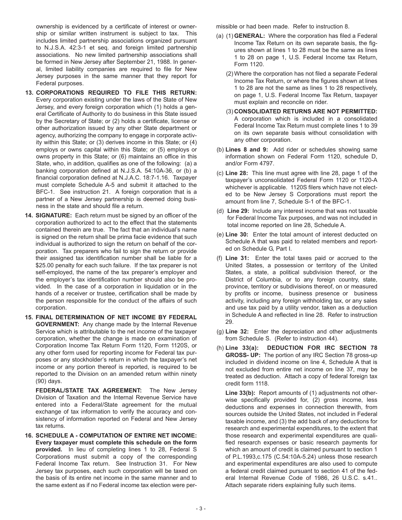ownership is evidenced by a certificate of interest or ownership or similar written instrument is subject to tax. This includes limited partnership associations organized pursuant to N.J.S.A. 42:3-1 et seq. and foreign limited partnership associations. No new limited partnership associations shall be formed in New Jersey after September 21, 1988. In general, limited liability companies are required to file for New Jersey purposes in the same manner that they report for Federal purposes.

- **13. CORPORATIONS REQUIRED TO FILE THIS RETURN:** Every corporation existing under the laws of the State of New Jersey, and every foreign corporation which (1) holds a general Certificate of Authority to do business in this State issued by the Secretary of State; or (2) holds a certificate, license or other authorization issued by any other State department or agency, authorizing the company to engage in corporate activity within this State; or (3) derives income in this State; or (4) employs or owns capital within this State; or (5) employs or owns property in this State; or (6) maintains an office in this State, who, in addition, qualifies as one of the following: (a) a banking corporation defined at N.J.S.A. 54:10A-36, or (b) a financial corporation defined at N.J.A.C. 18:7-1.16. Taxpayer must complete Schedule A-5 and submit it attached to the BFC-1. See instruction 21. A foreign corporation that is a partner of a New Jersey partnership is deemed doing business in the state and should file a return.
- **14. SIGNATURE:** Each return must be signed by an officer of the corporation authorized to act to the effect that the statements contained therein are true. The fact that an individual's name is signed on the return shall be prima facie evidence that such individual is authorized to sign the return on behalf of the corporation. Tax preparers who fail to sign the return or provide their assigned tax identification number shall be liable for a \$25.00 penalty for each such failure. If the tax preparer is not self-employed, the name of the tax preparer's employer and the employer's tax identification number should also be provided. In the case of a corporation in liquidation or in the hands of a receiver or trustee, certification shall be made by the person responsible for the conduct of the affairs of such corporation.
- **15. FINAL DETERMINATION OF NET INCOME BY FEDERAL GOVERNMENT:** Any change made by the Internal Revenue Service which is attributable to the net income of the taxpayer corporation, whether the change is made on examination of Corporation Income Tax Return Form 1120, Form 1120S, or any other form used for reporting income for Federal tax purposes or any stockholder's return in which the taxpayer's net income or any portion thereof is reported, is required to be reported to the Division on an amended return within ninety (90) days.

**FEDERAL/STATE TAX AGREEMENT:** The New Jersey Division of Taxation and the Internal Revenue Service have entered into a Federal/State agreement for the mutual exchange of tax information to verify the accuracy and consistency of information reported on Federal and New Jersey tax returns.

**16. SCHEDULE A - COMPUTATION OF ENTIRE NET INCOME: Every taxpayer must complete this schedule on the form provided.** In lieu of completing lines 1 to 28, Federal S Corporations must submit a copy of the corresponding Federal Income Tax return. See Instruction 31. For New Jersey tax purposes, each such corporation will be taxed on the basis of its entire net income in the same manner and to the same extent as if no Federal income tax election were permissible or had been made. Refer to instruction 8.

- (a) (1) **GENERAL:** Where the corporation has filed a Federal Income Tax Return on its own separate basis, the figures shown at lines 1 to 28 must be the same as lines 1 to 28 on page 1, U.S. Federal Income tax Return, Form 1120.
	- (2) Where the corporation has not filed a separate Federal Income Tax Return, or where the figures shown at lines 1 to 28 are not the same as lines 1 to 28 respectively, on page 1, U.S. Federal Income Tax Return, taxpayer must explain and reconcile on rider.
	- (3) **CONSOLIDATED RETURNS ARE NOT PERMITTED:** A corporation which is included in a consolidated Federal Income Tax Return must complete lines 1 to 39 on its own separate basis without consolidation with any other corporation.
- (b) **Lines 8 and 9:** Add rider or schedules showing same information shown on Federal Form 1120, schedule D, and/or Form 4797.
- (c) **Line 28:** This line must agree with line 28, page 1 of the taxpayer's unconsolidated Federal Form 1120 or 1120-A whichever is applicable. 1120S filers which have not elected to be New Jersey S Corporations must report the amount from line 7, Schedule S-1 of the BFC-1.
- (d) **Line 29:** Include any interest income that was not taxable for Federal Income Tax purposes, and was not included in total income reported on line 28, Schedule A.
- (e) **Line 30:** Enter the total amount of interest deducted on Schedule A that was paid to related members and reported on Schedule G, Part I.
- (f) **Line 31:** Enter the total taxes paid or accrued to the United States, a possession or territory of the United States, a state, a political subdivision thereof, or the District of Columbia, or to any foreign country, state, province, territory or subdivisions thereof, on or measured by profits or income, business presence or business activity, including any foreign withholding tax, or any sales and use tax paid by a utility vendor, taken as a deduction in Schedule A and reflected in line 28. Refer to instruction 29.
- (g) **Line 32:** Enter the depreciation and other adjustments from Schedule S. (Refer to instruction 44).
- (h) **Line 33(a): DEDUCTION FOR IRC SECTION 78 GROSS- UP:** The portion of any IRC Section 78 gross-up included in dividend income on line 4, Schedule A that is not excluded from entire net income on line 37, may be treated as deduction. Attach a copy of federal foreign tax credit form 1118.

**Line 33(b):** Report amounts of (1) adjustments not otherwise specifically provided for, (2) gross income, less deductions and expenses in connection therewith, from sources outside the United States, not included in Federal taxable income, and (3) the add back of any deductions for research and experimental expenditures, to the extent that those research and experimental expenditures are qualified research expenses or basic research payments for which an amount of credit is claimed pursuant to section 1 of P.L.1993,c.175 (C.54:10A-5.24) unless those research and experimental expenditures are also used to compute a federal credit claimed pursuant to section 41 of the federal Internal Revenue Code of 1986, 26 U.S.C. s.41.. Attach separate riders explaining fully such items.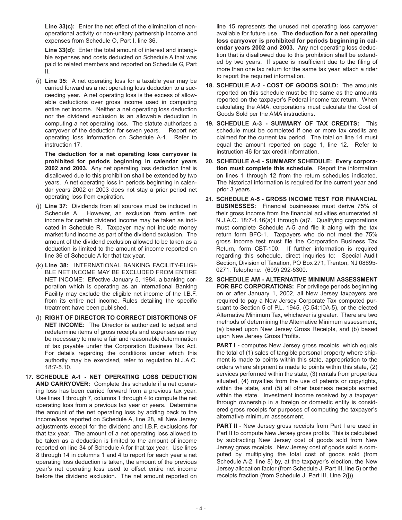**Line 33(c):** Enter the net effect of the elimination of nonoperational activity or non-unitary partnership income and expenses from Schedule O, Part I, line 36.

**Line 33(d):** Enter the total amount of interest and intangible expenses and costs deducted on Schedule A that was paid to related members and reported on Schedule G, Part II.

(i) **Line 35:** A net operating loss for a taxable year may be carried forward as a net operating loss deduction to a succeeding year. A net operating loss is the excess of allowable deductions over gross income used in computing entire net income. Neither a net operating loss deduction nor the dividend exclusion is an allowable deduction in computing a net operating loss. The statute authorizes a carryover of the deduction for seven years. Report net operating loss information on Schedule A-1. Refer to instruction 17.

**The deduction for a net operating loss carryover is prohibited for periods beginning in calendar years 2002 and 2003.** Any net operating loss deduction that is disallowed due to this prohibition shall be extended by two years. A net operating loss in periods beginning in calendar years 2002 or 2003 does not stay a prior period net operating loss from expiration.

- (j) **Line 37:** Dividends from all sources must be included in Schedule A. However, an exclusion from entire net income for certain dividend income may be taken as indicated in Schedule R. Taxpayer may not include money market fund income as part of the dividend exclusion. The amount of the dividend exclusion allowed to be taken as a deduction is limited to the amount of income reported on line 36 of Schedule A for that tax year.
- (k) **Line 38:** INTERNATIONAL BANKING FACILITY-ELIGI-BLE NET INCOME MAY BE EXCLUDED FROM ENTIRE NET INCOME: Effective January 5, 1984, a banking corporation which is operating as an International Banking Facility may exclude the eligible net income of the I.B.F. from its entire net income. Rules detailing the specific treatment have been published.
- (l) **RIGHT OF DIRECTOR TO CORRECT DISTORTIONS OF NET INCOME:** The Director is authorized to adjust and redetermine items of gross receipts and expenses as may be necessary to make a fair and reasonable determination of tax payable under the Corporation Business Tax Act. For details regarding the conditions under which this authority may be exercised, refer to regulation N.J.A.C. 18:7-5.10.
- **17. SCHEDULE A-1 NET OPERATING LOSS DEDUCTION AND CARRYOVER:** Complete this schedule if a net operating loss has been carried forward from a previous tax year. Use lines 1 through 7, columns 1 through 4 to compute the net operating loss from a previous tax year or years. Determine the amount of the net operating loss by adding back to the income/loss reported on Schedule A, line 28, all New Jersey adjustments except for the dividend and I.B.F. exclusions for that tax year. The amount of a net operating loss allowed to be taken as a deduction is limited to the amount of income reported on line 34 of Schedule A for that tax year. Use lines 8 through 14 in columns 1 and 4 to report for each year a net operating loss deduction is taken, the amount of the previous year's net operating loss used to offset entire net income before the dividend exclusion. The net amount reported on

line 15 represents the unused net operating loss carryover available for future use. **The deduction for a net operating loss carryover is prohibited for periods beginning in calendar years 2002 and 2003**. Any net operating loss deduction that is disallowed due to this prohibition shall be extended by two years. If space is insufficient due to the filing of more than one tax return for the same tax year, attach a rider to report the required information.

- **18. SCHEDULE A-2 COST OF GOODS SOLD:** The amounts reported on this schedule must be the same as the amounts reported on the taxpayer's Federal income tax return. When calculating the AMA, corporations must calculate the Cost of Goods Sold per the AMA instructions.
- **19. SCHEDULE A-3 SUMMARY OF TAX CREDITS:** This schedule must be completed if one or more tax credits are claimed for the current tax period. The total on line 14 must equal the amount reported on page 1, line 12. Refer to instruction 46 for tax credit information.
- **20. SCHEDULE A-4 SUMMARY SCHEDULE: Every corporation must complete this schedule.** Report the information on lines 1 through 12 from the return schedules indicated. The historical information is required for the current year and prior 3 years.
- **21. SCHEDULE A-5 GROSS INCOME TEST FOR FINANCIAL BUSINESSES:** Financial businesses must derive 75% of their gross income from the financial activities enumerated at N.J.A.C. 18:7-1.16(a)1 through (a)7. Qualifying corporations must complete Schedule A-5 and file it along with the tax return form BFC-1. Taxpayers who do not meet the 75% gross income test must file the Corporation Business Tax Return, form CBT-100. If further information is required regarding this schedule, direct inquiries to: Special Audit Section, Division of Taxation, PO Box 271, Trenton, NJ 08695- 0271, Telephone: (609) 292-5300.
- **22. SCHEDULE AM ALTERNATIVE MINIMUM ASSESSMENT FOR BFC CORPORATIONS:** For privilege periods beginning on or after January 1, 2002, all New Jersey taxpayers are required to pay a New Jersey Corporate Tax computed pursuant to Section 5 of P.L. 1945, (C.54:10A-5), or the elected Alternative Minimum Tax, whichever is greater. There are two methods of determining the Alternative Minimum assessment; (a) based upon New Jersey Gross Receipts, and (b) based upon New Jersey Gross Profits.

**PART I -** computes New Jersey gross receipts, which equals the total of (1) sales of tangible personal property where shipment is made to points within this state, appropriation to the orders where shipment is made to points within this state, (2) services performed within the state, (3) rentals from properties situated, (4) royalties from the use of patents or copyrights, within the state, and (5) all other business receipts earned within the state. Investment income received by a taxpayer through ownership in a foreign or domestic entity is considered gross receipts for purposes of computing the taxpayer's alternative minimum assessment.

**PART II** - New Jersey gross receipts from Part I are used in Part II to compute New Jersey gross profits. This is calculated by subtracting New Jersey cost of goods sold from New Jersey gross receipts. New Jersey cost of goods sold is computed by multiplying the total cost of goods sold (from Schedule A-2, line 8) by, at the taxpayer's election, the New Jersey allocation factor (from Schedule J, Part III, line 5) or the receipts fraction (from Schedule J, Part III, Line 2(j)).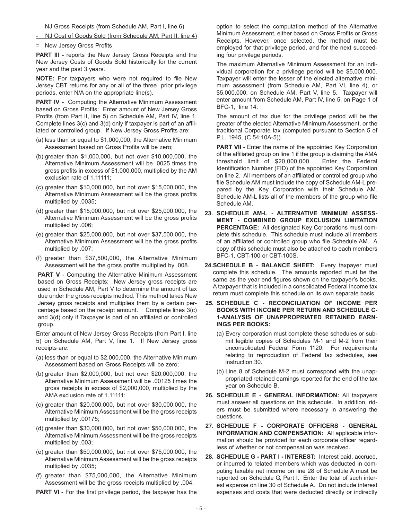NJ Gross Receipts (from Schedule AM, Part I, line 6)

- NJ Cost of Goods Sold (from Schedule AM, Part II, line 4)
- = New Jersey Gross Profits

**PART III** - reports the New Jersey Gross Receipts and the New Jersey Costs of Goods Sold historically for the current year and the past 3 years.

**NOTE:** For taxpayers who were not required to file New Jersey CBT returns for any or all of the three prior privilege periods, enter N/A on the appropriate line(s).

**PART IV -** Computing the Alternative Minimum Assessment based on Gross Profits: Enter amount of New Jersey Gross Profits (from Part II, line 5) on Schedule AM, Part IV, line 1. Complete lines 3(c) and 3(d) only if taxpayer is part of an affiliated or controlled group. If New Jersey Gross Profits are:

- (a) less than or equal to \$1,000,000, the Alternative Minimum Assessment based on Gross Profits will be zero;
- (b) greater than \$1,000,000, but not over \$10,000,000, the Alternative Minimum Assessment will be .0025 times the gross profits in excess of \$1,000,000, multiplied by the AM exclusion rate of 1.11111;
- (c) greater than \$10,000,000, but not over \$15,000,000, the Alternative Minimum Assessment will be the gross profits multiplied by .0035;
- (d) greater than \$15,000,000, but not over \$25,000,000, the Alternative Minimum Assessment will be the gross profits multiplied by .006;
- (e) greater than \$25,000,000, but not over \$37,500,000, the Alternative Minimum Assessment will be the gross profits multiplied by .007;
- (f) greater than \$37,500,000, the Alternative Minimum Assessment will be the gross profits multiplied by .008.

**PART V** - Computing the Alternative Minimum Assessment based on Gross Receipts: New Jersey gross receipts are used in Schedule AM, Part V to determine the amount of tax due under the gross receipts method. This method takes New Jersey gross receipts and multiplies them by a certain percentage based on the receipt amount. Complete lines 3(c) and 3(d) only if Taxpayer is part of an affiliated or controlled group.

Enter amount of New Jersey Gross Receipts (from Part I, line 5) on Schedule AM, Part V, line 1. If New Jersey gross receipts are:

- (a) less than or equal to \$2,000,000, the Alternative Minimum Assessment based on Gross Receipts will be zero;
- (b) greater than \$2,000,000, but not over \$20,000,000, the Alternative Minimum Assessment will be .00125 times the gross receipts in excess of \$2,000,000, multiplied by the AMA exclusion rate of 1.11111;
- (c) greater than \$20,000,000, but not over \$30,000,000, the Alternative Minimum Assessment will be the gross receipts multiplied by .00175;
- (d) greater than \$30,000,000, but not over \$50,000,000, the Alternative Minimum Assessment will be the gross receipts multiplied by .003;
- (e) greater than \$50,000,000, but not over \$75,000,000, the Alternative Minimum Assessment will be the gross receipts multiplied by .0035;
- (f) greater than \$75,000,000, the Alternative Minimum Assessment will be the gross receipts multiplied by .004.

**PART VI** - For the first privilege period, the taxpayer has the

option to select the computation method of the Alternative Minimum Assessment, either based on Gross Profits or Gross Receipts. However, once selected, the method must be employed for that privilege period, and for the next succeeding four privilege periods.

The maximum Alternative Minimum Assessment for an individual corporation for a privilege period will be \$5,000,000. Taxpayer will enter the lesser of the elected alternative minimum assessment (from Schedule AM, Part VI, line 4), or \$5,000,000, on Schedule AM, Part V, line 5. Taxpayer will enter amount from Schedule AM, Part IV, line 5, on Page 1 of BFC-1, line 14.

The amount of tax due for the privilege period will be the greater of the elected Alternative Minimum Assessment, or the traditional Corporate tax (computed pursuant to Section 5 of P.L. 1945, (C.54:10A-5)).

**PART VII** - Enter the name of the appointed Key Corporation of the affiliated group on line 1 if the group is claiming the AMA threshold limit of \$20,000,000. Enter the Federal Identification Number (FID) of the appointed Key Corporation on line 2. All members of an affiliated or controlled group who file Schedule AM must include the copy of Schedule AM-L prepared by the Key Corporation with their Schedule AM. Schedule AM-L lists all of the members of the group who file Schedule AM.

- **23. SCHEDULE AM-L ALTERNATIVE MINIMUM ASSESS-MENT - COMBINED GROUP EXCLUSION LIMITATION PERCENTAGE:** All designated Key Corporations must complete this schedule. This schedule must include all members of an affiliated or controlled group who file Schedule AM. A copy of this schedule must also be attached to each members BFC-1, CBT-100 or CBT-100S.
- **24.SCHEDULE B BALANCE SHEET:** Every taxpayer must complete this schedule. The amounts reported must be the same as the year end figures shown on the taxpayer's books. A taxpayer that is included in a consolidated Federal income tax return must complete this schedule on its own separate basis.
- **25. SCHEDULE C RECONCILIATION OF INCOME PER BOOKS WITH INCOME PER RETURN AND SCHEDULE C-1-ANALYSIS OF UNAPPROPRIATED RETAINED EARN-INGS PER BOOKS:**
	- (a) Every corporation must complete these schedules or submit legible copies of Schedules M-1 and M-2 from their unconsolidated Federal Form 1120. For requirements relating to reproduction of Federal tax schedules, see instruction 30.
	- (b) Line 8 of Schedule M-2 must correspond with the unappropriated retained earnings reported for the end of the tax year on Schedule B.
- **26. SCHEDULE E GENERAL INFORMATION:** All taxpayers must answer all questions on this schedule. In addition, riders must be submitted where necessary in answering the questions.
- **27. SCHEDULE F CORPORATE OFFICERS GENERAL INFORMATION AND COMPENSATION:** All applicable information should be provided for each corporate officer regardless of whether or not compensation was received.
- **28. SCHEDULE G PART I INTEREST:** Interest paid, accrued, or incurred to related members which was deducted in computing taxable net income on line 28 of Schedule A must be reported on Schedule G, Part I. Enter the total of such interest expense on line 30 of Schedule A. Do not include interest expenses and costs that were deducted directly or indirectly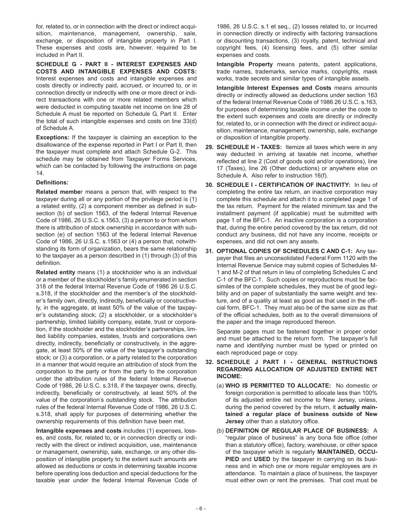for, related to, or in connection with the direct or indirect acquisition, maintenance, management, ownership, sale, exchange, or disposition of intangible property in Part I. These expenses and costs are, however, required to be included in Part II.

**SCHEDULE G - PART II - INTEREST EXPENSES AND COSTS AND INTANGIBLE EXPENSES AND COSTS:** Interest expenses and costs and intangible expenses and costs directly or indirectly paid, accrued, or incurred to, or in connection directly or indirectly with one or more direct or indirect transactions with one or more related members which were deducted in computing taxable net income on line 28 of Schedule A must be reported on Schedule G, Part II. Enter the total of such intangible expenses and costs on line 33(d) of Schedule A.

**Exceptions:** If the taxpayer is claiming an exception to the disallowance of the expense reported in Part I or Part II, then the taxpayer must complete and attach Schedule G-2. This schedule may be obtained from Taxpayer Forms Services, which can be contacted by following the instructions on page 14.

#### **Definitions:**

**Related membe**r means a person that, with respect to the taxpayer during all or any portion of the privilege period is (1) a related entity, (2) a component member as defined in subsection (b) of section 1563, of the federal Internal Revenue Code of 1986, 26 U.S.C. s.1563, (3) a person to or from whom there is attribution of stock ownership in accordance with subsection (e) of section 1563 of the federal Internal Revenue Code of 1986, 26 U.S.C. s.1563 or (4) a person that, notwithstanding its form of organization, bears the same relationship to the taxpayer as a person described in (1) through (3) of this definition.

**Related entity** means (1) a stockholder who is an individual or a member of the stockholder's family enumerated in section 318 of the federal Internal Revenue Code of 1986 26 U.S.C. s.318, if the stockholder and the member's of the stockholder's family own, directly, indirectly, beneficially or constructively, in the aggregate, at least 50% of the value of the taxpayer's outstanding stock; (2) a stockholder, or a stockholder's partnership, limited liability company, estate, trust or corporation, if the stockholder and the stockholder's partnerships, limited liability companies, estates, trusts and corporations own directly, indirectly, beneficially or constructively, in the aggregate, at least 50% of the value of the taxpayer's outstanding stock; or (3) a corporation, or a party related to the corporation in a manner that would require an attribution of stock from the corporation to the party or from the party to the corporation under the attribution rules of the federal Internal Revenue Code of 1986, 26 U.S.C. s.318, if the taxpayer owns, directly, indirectly, beneficially or constructively, at least 50% of the value of the corporation's outstanding stock. The attribution rules of the federal Internal Revenue Code of 1986, 26 U.S.C. s.318, shall apply for purposes of determining whether the ownership requirements of this definition have been met.

**Intangible expenses and costs** includes (1) expenses, losses, and costs, for, related to, or in connection directly or indirectly with the direct or indirect acquisition, use, maintenance or management, ownership, sale, exchange, or any other disposition of intangible property to the extent such amounts are allowed as deductions or costs in determining taxable income before operating loss deduction and special deductions for the taxable year under the federal Internal Revenue Code of 1986, 26 U.S.C. s.1 et seq., (2) losses related to, or incurred in connection directly or indirectly with factoring transactions or discounting transactions, (3) royalty, patent, technical and copyright fees, (4) licensing fees, and (5) other similar expenses and costs.

**Intangible Property** means patents, patent applications, trade names, trademarks, service marks, copyrights, mask works, trade secrets and similar types of intangible assets.

**Intangible Interest Expenses and Costs** means amounts directly or indirectly allowed as deductions under section 163 of the federal Internal Revenue Code of 1986 26 U.S.C. s.163, for purposes of determining taxable income under the code to the extent such expenses and costs are directly or indirectly for, related to, or in connection with the direct or indirect acquisition, maintenance, management, ownership, sale, exchange or disposition of intangible property.

- **29. SCHEDULE H TAXES:** Itemize all taxes which were in any way deducted in arriving at taxable net income, whether reflected at line 2 (Cost of goods sold and/or operations), line 17 (Taxes), line 26 (Other deductions) or anywhere else on Schedule A. Also refer to instruction 16(f).
- **30. SCHEDULE I CERTIFICATION OF INACTIVITY:** In lieu of completing the entire tax return, an inactive corporation may complete this schedule and attach it to a completed page 1 of the tax return. Payment for the related minimum tax and the installment payment (if applicable) must be submitted with page 1 of the BFC-1. An inactive corporation is a corporation that, during the entire period covered by the tax return, did not conduct any business, did not have any income, receipts or expenses, and did not own any assets.
- **31. OPTIONAL COPIES OF SCHEDULES C AND C-1:** Any taxpayer that files an unconsolidated Federal Form 1120 with the Internal Revenue Service may submit copies of Schedules M-1 and M-2 of that return in lieu of completing Schedules C and C-1 of the BFC-1. Such copies or reproductions must be facsimiles of the complete schedules, they must be of good legibility and on paper of substantially the same weight and texture, and of a quality at least as good as that used in the official form, BFC-1. They must also be of the same size as that of the official schedules, both as to the overall dimensions of the paper and the image reproduced thereon.

Separate pages must be fastened together in proper order and must be attached to the return form. The taxpayer's full name and identifying number must be typed or printed on each reproduced page or copy.

- **32. SCHEDULE J PART I GENERAL INSTRUCTIONS REGARDING ALLOCATION OF ADJUSTED ENTIRE NET INCOME:**
	- (a) **WHO IS PERMITTED TO ALLOCATE:** No domestic or foreign corporation is permitted to allocate less than 100% of its adjusted entire net income to New Jersey, unless, during the period covered by the return, it **actually maintained a regular place of business outside of New Jersey** other than a statutory office.
	- (b) **DEFINITION OF REGULAR PLACE OF BUSINESS:** A "regular place of business" is any bona fide office (other than a statutory office), factory, warehouse, or other space of the taxpayer which is regularly **MAINTAINED, OCCU-PIED** and **USED** by the taxpayer in carrying on its business and in which one or more regular employees are in attendance. To maintain a place of business, the taxpayer must either own or rent the premises. That cost must be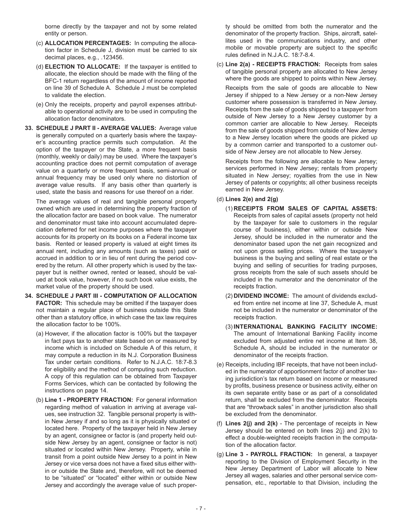borne directly by the taxpayer and not by some related entity or person.

- (c) **ALLOCATION PERCENTAGES:** In computing the allocation factor in Schedule J, division must be carried to six decimal places, e.g., .123456.
- (d) **ELECTION TO ALLOCATE:** If the taxpayer is entitled to allocate, the election should be made with the filing of the BFC-1 return regardless of the amount of income reported on line 39 of Schedule A. Schedule J must be completed to validate the election.
- (e) Only the receipts, property and payroll expenses attributable to operational activity are to be used in computing the allocation factor denominators.
- **33. SCHEDULE J PART II AVERAGE VALUES:** Average value is generally computed on a quarterly basis where the taxpayer's accounting practice permits such computation. At the option of the taxpayer or the State, a more frequent basis (monthly, weekly or daily) may be used. Where the taxpayer's accounting practice does not permit computation of average value on a quarterly or more frequent basis, semi-annual or annual frequency may be used only where no distortion of average value results. If any basis other than quarterly is used, state the basis and reasons for use thereof on a rider.

The average values of real and tangible personal property owned which are used in determining the property fraction of the allocation factor are based on book value. The numerator and denominator must take into account accumulated depreciation deferred for net income purposes where the taxpayer accounts for its property on its books on a Federal income tax basis. Rented or leased property is valued at eight times its annual rent, including any amounts (such as taxes) paid or accrued in addition to or in lieu of rent during the period covered by the return. All other property which is used by the taxpayer but is neither owned, rented or leased, should be valued at book value, however, if no such book value exists, the market value of the property should be used.

- **34. SCHEDULE J PART III COMPUTATION OF ALLOCATION FACTOR:** This schedule may be omitted if the taxpayer does not maintain a regular place of business outside this State other than a statutory office, in which case the tax law requires the allocation factor to be 100%.
	- (a) However, if the allocation factor is 100% but the taxpayer in fact pays tax to another state based on or measured by income which is included on Schedule A of this return, it may compute a reduction in its N.J. Corporation Business Tax under certain conditions. Refer to N.J.A.C. 18:7-8.3 for eligibility and the method of computing such reduction. A copy of this regulation can be obtained from Taxpayer Forms Services, which can be contacted by following the instructions on page 14.
	- (b) **Line 1 PROPERTY FRACTION:** For general information regarding method of valuation in arriving at average values, see instruction 32. Tangible personal property is within New Jersey if and so long as it is physically situated or located here. Property of the taxpayer held in New Jersey by an agent, consignee or factor is (and property held outside New Jersey by an agent, consignee or factor is not) situated or located within New Jersey. Property, while in transit from a point outside New Jersey to a point in New Jersey or vice versa does not have a fixed situs either within or outside the State and, therefore, will not be deemed to be "situated" or "located" either within or outside New Jersey and accordingly the average value of such proper-

ty should be omitted from both the numerator and the denominator of the property fraction. Ships, aircraft, satellites used in the communications industry, and other mobile or movable property are subject to the specific rules defined in N.J.A.C. 18:7-8.4.

(c) **Line 2(a) - RECEIPTS FRACTION:** Receipts from sales of tangible personal property are allocated to New Jersey where the goods are shipped to points within New Jersey.

Receipts from the sale of goods are allocable to New Jersey if shipped to a New Jersey or a non-New Jersey customer where possession is transferred in New Jersey. Receipts from the sale of goods shipped to a taxpayer from outside of New Jersey to a New Jersey customer by a common carrier are allocable to New Jersey. Receipts from the sale of goods shipped from outside of New Jersey to a New Jersey location where the goods are picked up by a common carrier and transported to a customer outside of New Jersey are not allocable to New Jersey.

Receipts from the following are allocable to New Jersey; services performed in New Jersey; rentals from property situated in New Jersey; royalties from the use in New Jersey of patents or copyrights; all other business receipts earned in New Jersey.

#### (d) **Lines 2(e) and 2(g)**

- (1) **RECEIPTS FROM SALES OF CAPITAL ASSETS:** Receipts from sales of capital assets (property not held by the taxpayer for sale to customers in the regular course of business), either within or outside New Jersey, should be included in the numerator and the denominator based upon the net gain recognized and not upon gross selling prices. Where the taxpayer's business is the buying and selling of real estate or the buying and selling of securities for trading purposes, gross receipts from the sale of such assets should be included in the numerator and the denominator of the receipts fraction.
- (2) **DIVIDEND INCOME:** The amount of dividends excluded from entire net income at line 37, Schedule A, must not be included in the numerator or denominator of the receipts fraction.
- (3) **INTERNATIONAL BANKING FACILITY INCOME:** The amount of International Banking Facility income excluded from adjusted entire net income at Item 38, Schedule A, should be included in the numerator or denominator of the receipts fraction.
- (e) Receipts, including IBF receipts, that have not been included in the numerator of apportionment factor of another taxing jurisdiction's tax return based on income or measured by profits, business presence or business activity, either on its own separate entity base or as part of a consolidated return, shall be excluded from the denominator. Receipts that are "throwback sales" in another jurisdiction also shall be excluded from the denominator.
- (f) **Lines 2(j) and 2(k)**  The percentage of receipts in New Jersey should be entered on both lines 2(j) and 2(k) to effect a double-weighted receipts fraction in the computation of the allocation factor.
- (g) **Line 3 PAYROLL FRACTION:** In general, a taxpayer reporting to the Division of Employment Security in the New Jersey Department of Labor will allocate to New Jersey all wages, salaries and other personal service compensation, etc., reportable to that Division, including the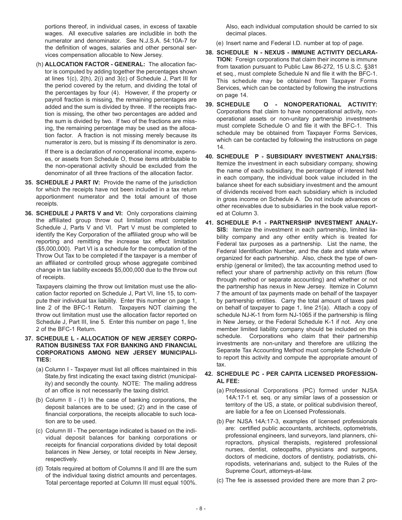portions thereof, in individual cases, in excess of taxable wages. All executive salaries are includible in both the numerator and denominator. See N.J.S.A. 54:10A-7 for the definition of wages, salaries and other personal services compensation allocable to New Jersey.

(h) **ALLOCATION FACTOR - GENERAL:** The allocation factor is computed by adding together the percentages shown at lines 1(c), 2(h), 2(i) and 3(c) of Schedule J, Part III for the period covered by the return, and dividing the total of the percentages by four (4). However, if the property or payroll fraction is missing, the remaining percentages are added and the sum is divided by three. If the receipts fraction is missing, the other two percentages are added and the sum is divided by two. If two of the fractions are missing, the remaining percentage may be used as the allocation factor. A fraction is not missing merely because its numerator is zero, but is missing if its denominator is zero.

If there is a declaration of nonoperational income, expenses, or assets from Schedule O, those items attributable to the non-operational activity should be excluded from the denominator of all three fractions of the allocation factor.

- **35. SCHEDULE J PART IV:** Provide the name of the jurisdiction for which the receipts have not been included in a tax return apportionment numerator and the total amount of those receipts.
- **36. SCHEDULE J PARTS V and VI:** Only corporations claiming the affiliated group throw out limitation must complete Schedule J, Parts V and VI. Part V must be completed to identify the Key Corporation of the affiliated group who will be reporting and remitting the increase tax effect limitation (\$5,000,000). Part VI is a schedule for the computation of the Throw Out Tax to be completed if the taxpayer is a member of an affiliated or controlled group whose aggregate combined change in tax liability exceeds \$5,000,000 due to the throw out of receipts.

Taxpayers claiming the throw out limitation must use the allocation factor reported on Schedule J, Part VI, line 15, to compute their individual tax liability. Enter this number on page 1, line 2 of the BFC-1 Return. Taxpayers NOT claiming the throw out limitation must use the allocation factor reported on Schedule J, Part III, line 5. Enter this number on page 1, line 2 of the BFC-1 Return.

- **37. SCHEDULE L ALLOCATION OF NEW JERSEY CORPO-RATION BUSINESS TAX FOR BANKING AND FINANCIAL CORPORATIONS AMONG NEW JERSEY MUNICIPALI-TIES:**
	- (a) Column I Taxpayer must list all offices maintained in this State,by first indicating the exact taxing district (municipality) and secondly the county. NOTE: The mailing address of an office is not necessarily the taxing district.
	- (b) Column II (1) In the case of banking corporations, the deposit balances are to be used; (2) and in the case of financial corporations, the receipts allocable to such location are to be used.
	- (c) Column III The percentage indicated is based on the individual deposit balances for banking corporations or receipts for financial corporations divided by total deposit balances in New Jersey, or total receipts in New Jersey, respectively.
	- (d) Totals required at bottom of Columns II and III are the sum of the individual taxing district amounts and percentages. Total percentage reported at Column III must equal 100%.

Also, each individual computation should be carried to six decimal places.

(e) Insert name and Federal I.D. number at top of page.

- **38. SCHEDULE N NEXUS IMMUNE ACTIVITY DECLARA-TION:** Foreign corporations that claim their income is immune from taxation pursuant to Public Law 86-272, 15 U.S.C. §381 et seq., must complete Schedule N and file it with the BFC-1. This schedule may be obtained from Taxpayer Forms Services, which can be contacted by following the instructions on page 14.
- **39. SCHEDULE O NONOPERATIONAL ACTIVITY:** Corporations that claim to have nonoperational activity, nonoperational assets or non-unitary partnership investments must complete Schedule O and file it with the BFC-1. This schedule may be obtained from Taxpayer Forms Services, which can be contacted by following the instructions on page 14.
- **40. SCHEDULE P SUBSIDIARY INVESTMENT ANALYSIS:** Itemize the investment in each subsidiary company, showing the name of each subsidiary, the percentage of interest held in each company, the individual book value included in the balance sheet for each subsidiary investment and the amount of dividends received from each subsidiary which is included in gross income on Schedule A. Do not include advances or other receivables due to subsidiaries in the book value reported at Column 3.
- **41. SCHEDULE P-1 PARTNERSHIP INVESTMENT ANALY-SIS:** Itemize the investment in each partnership, limited liability company and any other entity which is treated for Federal tax purposes as a partnership. List the name, the Federal Identification Number, and the date and state where organized for each partnership. Also, check the type of ownership (general or limited), the tax accounting method used to reflect your share of partnership activity on this return (flow through method or separate accounting) and whether or not the partnership has nexus in New Jersey. Itemize in Column 7 the amount of tax payments made on behalf of the taxpayer by partnership entities. Carry the total amount of taxes paid on behalf of taxpayer to page 1, line 21(a). Attach a copy of schedule NJ-K-1 from form NJ-1065 if the partnership is filing in New Jersey, or the Federal Schedule K-1 if not. Any one member limited liability company should be included on this schedule. Corporations who claim that their partnership investments are non-unitary and therefore are utilizing the Separate Tax Accounting Method must complete Schedule O to report this activity and compute the appropriate amount of tax.

#### **42. SCHEDULE PC - PER CAPITA LICENSED PROFESSION-AL FEE:**

- (a) Professional Corporations (PC) formed under NJSA 14A:17-1 et. seq. or any similar laws of a possession or territory of the US, a state, or political subdivision thereof, are liable for a fee on Licensed Professionals.
- (b) Per NJSA 14A:17-3, examples of licensed professionals are: certified public accountants, architects, optometrists, professional engineers, land surveyors, land planners, chiropractors, physical therapists, registered professional nurses, dentist, osteopaths, physicians and surgeons, doctors of medicine, doctors of dentistry, podiatrists, chiropodists, veterinarians and, subject to the Rules of the Supreme Court, attorneys-at-law.
- (c) The fee is assessed provided there are more than 2 pro-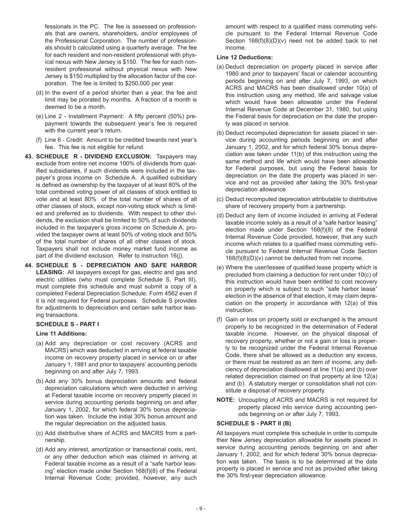fessionals in the PC. The fee is assessed on professionals that are owners, shareholders, and/or employees of the Professional Corporation. The number of professionals should b calculated using a quarterly average. The fee for each resident and non-resident professional with physical nexus with New Jersey is \$150. The fee for each nonresident professional without physical nexus with New Jersey is \$150 multiplied by the allocation factor of the corporation. The fee is limited to \$250,000 per year.

- (d) In the event of a period shorter than a year, the fee and limit may be prorated by months. A fraction of a month is deemed to be a month.
- (e) Line 2 Installment Payment: A fifty percent (50%) prepayment towards the subsequent year's fee is required with the current year's return.
- (f) Line 6 Credit: Amount to be credited towards next year's fee. This fee is not eligible for refund.
- **43. SCHEDULE R DIVIDEND EXCLUSION:** Taxpayers may exclude from entire net income 100% of dividends from qualified subsidiaries, if such dividends were included in the taxpayer's gross income on Schedule A. A qualified subsidiary is defined as ownership by the taxpayer of at least 80% of the total combined voting power of all classes of stock entitled to vote and at least 80% of the total number of shares of all other classes of stock, except non-voting stock which is limited and preferred as to dividends. With respect to other dividends, the exclusion shall be limited to 50% of such dividends included in the taxpayer's gross income on Schedule A, provided the taxpayer owns at least 50% of voting stock and 50% of the total number of shares of all other classes of stock. Taxpayers shall not include money market fund income as part of the dividend exclusion. Refer to instruction 16(j).
- **44. SCHEDULE S DEPRECIATION AND SAFE HARBOR LEASING:** All taxpayers except for gas, electric and gas and electric utilities (who must complete Schedule S, Part III), must complete this schedule and must submit a copy of a completed Federal Depreciation Schedule, Form 4562 even if it is not required for Federal purposes. Schedule S provides for adjustments to depreciation and certain safe harbor leasing transactions.

#### **SCHEDULE S - PART I**

#### **Line 11 Additions:**

- (a) Add any depreciation or cost recovery (ACRS and MACRS) which was deducted in arriving at federal taxable income on recovery property placed in service on or after January 1, 1981 and prior to taxpayers' accounting periods beginning on and after July 7, 1993.
- (b) Add any 30% bonus depreciation amounts and federal depreciation calculations which were deducted in arriving at Federal taxable income on recovery property placed in service during accounting periods beginning on and after January 1, 2002, for which federal 30% bonus depreciation was taken. Include the initial 30% bonus amount and the regular depreciation on the adjusted basis.
- (c) Add distributive share of ACRS and MACRS from a partnership.
- (d) Add any interest, amortization or transactional costs, rent, or any other deduction which was claimed in arriving at Federal taxable income as a result of a "safe harbor leasing" election made under Section 168(f)(8) of the Federal Internal Revenue Code; provided, however, any such

amount with respect to a qualified mass commuting vehicle pursuant to the Federal Internal Revenue Code Section 168(f)(8)(D)(v) need not be added back to net income.

#### **Line 12 Deductions:**

- (a) Deduct depreciation on property placed in service after 1980 and prior to taxpayers' fiscal or calendar accounting periods beginning on and after July 7, 1993, on which ACRS and MACRS has been disallowed under 10(a) of this instruction using any method, life and salvage value which would have been allowable under the Federal Internal Revenue Code at December 31, 1980, but using the Federal basis for depreciation on the date the property was placed in service.
- (b) Deduct recomputed depreciation for assets placed in service during accounting periods beginning on and after January 1, 2002, and for which federal 30% bonus depreciation was taken under 11(b) of this instruction using the same method and life which would have been allowable for Federal purposes, but using the Federal basis for depreciation on the date the property was placed in service and not as provided after taking the 30% first-year depreciation allowance.
- (c) Deduct recomputed depreciation attributable to distributive share of recovery property from a partnership.
- (d) Deduct any item of income included in arriving at Federal taxable income solely as a result of a "safe harbor leasing" election made under Section 168(f)(8) of the Federal Internal Revenue Code provided, however, that any such income which relates to a qualified mass commuting vehicle pursuant to Federal Internal Revenue Code Section 168(f)(8)(D)(v) cannot be deducted from net income.
- (e) Where the user/lessee of qualified lease property which is precluded from claiming a deduction for rent under 10(c) of this instruction would have been entitled to cost recovery on property which is subject to such "safe harbor lease" election in the absence of that election, it may claim depreciation on the property in accordance with 12(a) of this instruction.
- (f) Gain or loss on property sold or exchanged is the amount properly to be recognized in the determination of Federal taxable income. However, on the physical disposal of recovery property, whether or not a gain or loss is properly to be recognized under the Federal Internal Revenue Code, there shall be allowed as a deduction any excess, or there must be restored as an item of income, any deficiency of depreciation disallowed at line 11(a) and (b) over related depreciation claimed on that property at line 12(a) and (b). A statutory merger or consolidation shall not constitute a disposal of recovery property.
- **NOTE:** Uncoupling of ACRS and MACRS is not required for property placed into service during accounting periods beginning on or after July 7, 1993.

#### **SCHEDULE S - PART II (B)**

All taxpayers must complete this schedule in order to compute their New Jersey depreciation allowable for assets placed in service during accounting periods beginning on and after January 1, 2002, and for which federal 30% bonus depreciation was taken. The basis is to be determined at the date property is placed in service and not as provided after taking the 30% first-year depreciation allowance.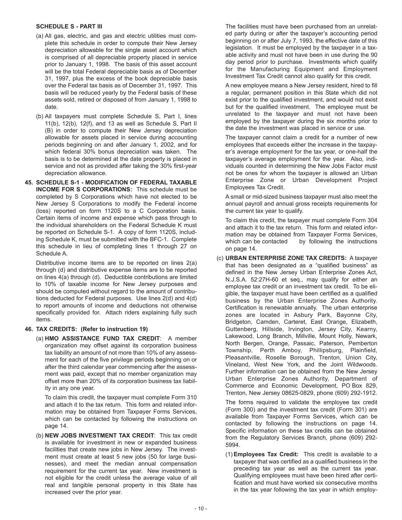#### **SCHEDULE S - PART III**

- (a) All gas, electric, and gas and electric utilities must complete this schedule in order to compute their New Jersey depreciation allowable for the single asset account which is comprised of all depreciable property placed in service prior to January 1, 1998. The basis of this asset account will be the total Federal depreciable basis as of December 31, 1997, plus the excess of the book depreciable basis over the Federal tax basis as of December 31, 1997. This basis will be reduced yearly by the Federal basis of these assets sold, retired or disposed of from January 1, 1998 to date.
- (b) All taxpayers must complete Schedule S, Part I, lines 11(b), 12(b), 12(f), and 13 as well as Schedule S, Part II (B) in order to compute their New Jersey depreciation allowable for assets placed in service during accounting periods beginning on and after January 1, 2002, and for which federal 30% bonus depreciation was taken. The basis is to be determined at the date property is placed in service and not as provided after taking the 30% first-year depreciation allowance.
- **45. SCHEDULE S-1 MODIFICATION OF FEDERAL TAXABLE INCOME FOR S CORPORATIONS:** This schedule must be completed by S Corporations which have not elected to be New Jersey S Corporations to modify the Federal income (loss) reported on form 1120S to a C Corporation basis. Certain items of income and expense which pass through to the individual shareholders on the Federal Schedule K must be reported on Schedule S-1. A copy of form 1120S, including Schedule K, must be submitted with the BFC-1. Complete this schedule in lieu of completing lines 1 through 27 on Schedule A.

Distributive income items are to be reported on lines 2(a) through (d) and distributive expense items are to be reported on lines 4(a) through (d). Deductible contributions are limited to 10% of taxable income for New Jersey purposes and should be computed without regard to the amount of contributions deducted for Federal purposes. Use lines 2(d) and 4(d) to report amounts of income and deductions not otherwise specifically provided for. Attach riders explaining fully such items.

#### **46. TAX CREDITS: (Refer to instruction 19)**

(a) **HMO ASSISTANCE FUND TAX CREDIT**: A member organization may offset against its corporation business tax liability an amount of not more than 10% of any assessment for each of the five privilege periods beginning on or after the third calendar year commencing after the assessment was paid, except that no member organization may offset more than 20% of its corporation business tax liability in any one year.

To claim this credit, the taxpayer must complete Form 310 and attach it to the tax return. This form and related information may be obtained from Taxpayer Forms Services, which can be contacted by following the instructions on page 14.

(b) **NEW JOBS INVESTMENT TAX CREDIT**: This tax credit is available for investment in new or expanded business facilities that create new jobs in New Jersey. The investment must create at least 5 new jobs (50 for large businesses), and meet the median annual compensation requirement for the current tax year. New investment is not eligible for the credit unless the average value of all real and tangible personal property in this State has increased over the prior year.

The facilities must have been purchased from an unrelated party during or after the taxpayer's accounting period beginning on or after July 7, 1993, the effective date of this legislation. It must be employed by the taxpayer in a taxable activity and must not have been in use during the 90 day period prior to purchase. Investments which qualify for the Manufacturing Equipment and Employment Investment Tax Credit cannot also qualify for this credit.

A new employee means a New Jersey resident, hired to fill a regular, permanent position in this State which did not exist prior to the qualified investment, and would not exist but for the qualified investment. The employee must be unrelated to the taxpayer and must not have been employed by the taxpayer during the six months prior to the date the investment was placed in service or use.

The taxpayer cannot claim a credit for a number of new employees that exceeds either the increase in the taxpayer's average employment for the tax year, or one-half the taxpayer's average employment for the year. Also, individuals counted in determining the New Jobs Factor must not be ones for whom the taxpayer is allowed an Urban Enterprise Zone or Urban Development Project Employees Tax Credit.

A small or mid-sized business taxpayer must also meet the annual payroll and annual gross receipts requirements for the current tax year to qualify.

To claim this credit, the taxpayer must complete Form 304 and attach it to the tax return. This form and related information may be obtained from Taxpayer Forms Services, which can be contacted by following the instructions on page 14.

(c) **URBAN ENTERPRISE ZONE TAX CREDITS:** A taxpayer that has been designated as a "qualified business" as defined in the New Jersey Urban Enterprise Zones Act, N.J.S.A. 52:27H-60 et seq., may qualify for either an employee tax credit or an investment tax credit. To be eligible, the taxpayer must have been certified as a qualified business by the Urban Enterprise Zones Authority. Certification is renewable annually. The urban enterprise zones are located in Asbury Park, Bayonne City, Bridgeton, Camden, Carteret, East Orange, Elizabeth, Guttenberg, Hillside, Irvington, Jersey City, Kearny, Lakewood, Long Branch, Millville, Mount Holly, Newark, North Bergen, Orange, Passaic, Paterson, Pemberton Township, Perth Amboy, Phillipsburg, Plainfield, Pleasantville, Roselle Borough, Trenton, Union City, Vineland, West New York, and the Joint Wildwoods. Further information can be obtained from the New Jersey Urban Enterprise Zones Authority, Department of Commerce and Economic Development, PO Box 829, Trenton, New Jersey 08625-0829, phone (609) 292-1912.

The forms required to validate the employee tax credit (Form 300) and the investment tax credit (Form 301) are available from Taxpayer Forms Services, which can be contacted by following the instructions on page 14. Specific information on these tax credits can be obtained from the Regulatory Services Branch, phone (609) 292- 5994.

(1) **Employees Tax Credit:** This credit is available to a taxpayer that was certified as a qualified business in the preceding tax year as well as the current tax year. Qualifying employees must have been hired after certification and must have worked six consecutive months in the tax year following the tax year in which employ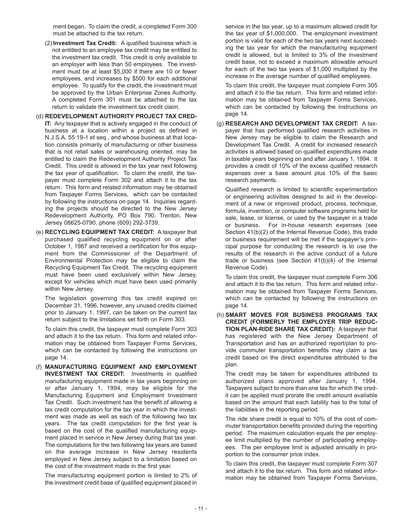ment began. To claim the credit, a completed Form 300 must be attached to the tax return.

- (2) **Investment Tax Credit:** A qualified business which is not entitled to an employee tax credit may be entitled to the investment tax credit. This credit is only available to an employer with less than 50 employees. The investment must be at least \$5,000 if there are 10 or fewer employees, and increases by \$500 for each additional employee. To qualify for the credit, the investment must be approved by the Urban Enterprise Zones Authority. A completed Form 301 must be attached to the tax return to validate the investment tax credit claim.
- (d) **REDEVELOPMENT AUTHORITY PROJECT TAX CRED-IT:** Any taxpayer that is actively engaged in the conduct of business at a location within a project as defined in N.J.S.A. 55:19-1 et seq., and whose business at that location consists primarily of manufacturing or other business that is not retail sales or warehousing oriented, may be entitled to claim the Redevelopment Authority Project Tax Credit. This credit is allowed in the tax year next following the tax year of qualification. To claim the credit, the taxpayer must complete Form 302 and attach it to the tax return. This form and related information may be obtained from Taxpayer Forms Services, which can be contacted by following the instructions on page 14. Inquiries regarding the projects should be directed to the New Jersey Redevelopment Authority, PO Box 790, Trenton, New Jersey 08625-0790, phone (609) 292-3739.
- (e) **RECYCLING EQUIPMENT TAX CREDIT:** A taxpayer that purchased qualified recycling equipment on or after October 1, 1987 and received a certification for this equipment from the Commissioner of the Department of Environmental Protection may be eligible to claim the Recycling Equipment Tax Credit. The recycling equipment must have been used exclusively within New Jersey, except for vehicles which must have been used primarily within New Jersey.

The legislation governing this tax credit expired on December 31, 1996, however, any unused credits claimed prior to January 1, 1997, can be taken on the current tax return subject to the limitations set forth on Form 303.

To claim this credit, the taxpayer must complete Form 303 and attach it to the tax return. This form and related information may be obtained from Taxpayer Forms Services, which can be contacted by following the instructions on page 14.

(f) **MANUFACTURING EQUIPMENT AND EMPLOYMENT INVESTMENT TAX CREDIT:** Investments in qualified manufacturing equipment made in tax years beginning on or after January 1, 1994, may be eligible for the Manufacturing Equipment and Employment Investment Tax Credit. Such investment has the benefit of allowing a tax credit computation for the tax year in which the investment was made as well as each of the following two tax years. The tax credit computation for the first year is based on the cost of the qualified manufacturing equipment placed in service in New Jersey during that tax year. The computations for the two following tax years are based on the average increase in New Jersey residents employed in New Jersey subject to a limitation based on the cost of the investment made in the first year.

The manufacturing equipment portion is limited to 2% of the investment credit base of qualified equipment placed in

service in the tax year, up to a maximum allowed credit for the tax year of \$1,000,000. The employment investment portion is valid for each of the two tax years next succeeding the tax year for which the manufacturing equipment credit is allowed, but is limited to 3% of the investment credit base, not to exceed a maximum allowable amount for each of the two tax years of \$1,000 multiplied by the increase in the average number of qualified employees.

To claim this credit, the taxpayer must complete Form 305 and attach it to the tax return. This form and related information may be obtained from Taxpayer Forms Services, which can be contacted by following the instructions on page 14.

(g) **RESEARCH AND DEVELOPMENT TAX CREDIT:** A taxpayer that has performed qualified research activities in New Jersey may be eligible to claim the Research and Development Tax Credit. A credit for increased research activities is allowed based on qualified expenditures made in taxable years beginning on and after January 1, 1994. It provides a credit of 10% of the excess qualified research expenses over a base amount plus 10% of the basic research payments.

Qualified research is limited to scientific experimentation or engineering activities designed to aid in the development of a new or improved product, process, technique, formula, invention, or computer software programs held for sale, lease, or license, or used by the taxpayer in a trade or business. For in-house research expenses (see Section 41(b)(2) of the Internal Revenue Code), this trade or business requirement will be met if the taxpayer's principal purpose for conducting the research is to use the results of the research in the active conduct of a future trade or business (see Section 41(b)(4) of the Internal Revenue Code).

To claim this credit, the taxpayer must complete Form 306 and attach it to the tax return. This form and related information may be obtained from Taxpayer Forms Services, which can be contacted by following the instructions on page 14.

(h) **SMART MOVES FOR BUSINESS PROGRAMS TAX CREDIT (FORMERLY THE EMPLOYER TRIP REDUC-TION PLAN-RIDE SHARE TAX CREDIT):** A taxpayer that has registered with the New Jersey Department of Transportation and has an authorized report/plan to provide commuter transportation benefits may claim a tax credit based on the direct expenditures attributed to the plan.

The credit may be taken for expenditures attributed to authorized plans approved after January 1, 1994. Taxpayers subject to more than one tax for which the credit can be applied must prorate the credit amount available based on the amount that each liability has to the total of the liabilities in the reporting period.

The ride share credit is equal to 10% of the cost of commuter transportation benefits provided during the reporting period. The maximum calculation equals the per employee limit multiplied by the number of participating employees. The per employee limit is adjusted annually in proportion to the consumer price index.

To claim this credit, the taxpayer must complete Form 307 and attach it to the tax return. This form and related information may be obtained from Taxpayer Forms Services,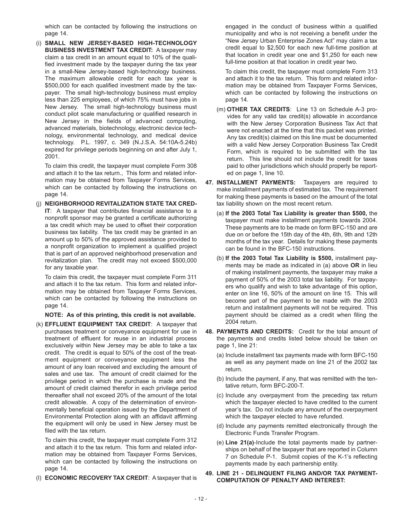which can be contacted by following the instructions on page 14.

(i) **SMALL NEW JERSEY-BASED HIGH-TECHNOLOGY BUSINESS INVESTMENT TAX CREDIT:** A taxpayer may claim a tax credit in an amount equal to 10% of the qualified investment made by the taxpayer during the tax year in a small-New Jersey-based high-technology business. The maximum allowable credit for each tax year is \$500,000 for each qualified investment made by the taxpayer. The small high-technology business must employ less than 225 employees, of which 75% must have jobs in New Jersey. The small high-technology business must conduct pilot scale manufacturing or qualified research in New Jersey in the fields of advanced computing, advanced materials, biotechnology, electronic device technology, environmental technology, and medical device technology. P.L. 1997, c. 349 (N.J.S.A. 54:10A-5.24b) expired for privilege periods beginning on and after July 1, 2001.

To claim this credit, the taxpayer must complete Form 308 and attach it to the tax return., This form and related information may be obtained from Taxpayer Forms Services, which can be contacted by following the instructions on page 14.

(j) **NEIGHBORHOOD REVITALIZATION STATE TAX CRED-IT**: A taxpayer that contributes financial assistance to a nonprofit sponsor may be granted a certificate authorizing a tax credit which may be used to offset their corporation business tax liability. The tax credit may be granted in an amount up to 50% of the approved assistance provided to a nonprofit organization to implement a qualified project that is part of an approved neighborhood preservation and revitalization plan. The credit may not exceed \$500,000 for any taxable year.

To claim this credit, the taxpayer must complete Form 311 and attach it to the tax return. This form and related information may be obtained from Taxpayer Forms Services, which can be contacted by following the instructions on page 14.

**NOTE: As of this printing, this credit is not available.**

(k) **EFFLUENT EQUIPMENT TAX CREDIT**: A taxpayer that purchases treatment or conveyance equipment for use in treatment of effluent for reuse in an industrial process exclusively within New Jersey may be able to take a tax credit. The credit is equal to 50% of the cost of the treatment equipment or conveyance equipment less the amount of any loan received and excluding the amount of sales and use tax. The amount of credit claimed for the privilege period in which the purchase is made and the amount of credit claimed therefor in each privilege period thereafter shall not exceed 20% of the amount of the total credit allowable. A copy of the determination of environmentally beneficial operation issued by the Department of Environmental Protection along with an affidavit affirming the equipment will only be used in New Jersey must be filed with the tax return.

To claim this credit, the taxpayer must complete Form 312 and attach it to the tax return. This form and related information may be obtained from Taxpayer Forms Services, which can be contacted by following the instructions on page 14.

(l) **ECONOMIC RECOVERY TAX CREDIT**: A taxpayer that is

engaged in the conduct of business within a qualified municipality and who is not receiving a benefit under the "New Jersey Urban Enterprise Zones Act" may claim a tax credit equal to \$2,500 for each new full-time position at that location in credit year one and \$1,250 for each new full-time position at that location in credit year two.

To claim this credit, the taxpayer must complete Form 313 and attach it to the tax return. This form and related information may be obtained from Taxpayer Forms Services, which can be contacted by following the instructions on page 14.

- (m) **OTHER TAX CREDITS**: Line 13 on Schedule A-3 provides for any valid tax credit(s) allowable in accordance with the New Jersey Corporation Business Tax Act that were not enacted at the time that this packet was printed. Any tax credit(s) claimed on this line must be documented with a valid New Jersey Corporation Business Tax Credit Form, which is required to be submitted with the tax return. This line should not include the credit for taxes paid to other jurisdictions which should properly be reported on page 1, line 10.
- **47. INSTALLMENT PAYMENTS:** Taxpayers are required to make installment payments of estimated tax. The requirement for making these payments is based on the amount of the total tax liability shown on the most recent return.
	- (a) **If the 2003 Total Tax Liability is greater than \$500,** the taxpayer must make installment payments towards 2004. These payments are to be made on form BFC-150 and are due on or before the 15th day of the 4th, 6th, 9th and 12th months of the tax year. Details for making these payments can be found in the BFC-150 instructions.
	- (b) **If the 2003 Total Tax Liability is \$500,** installment payments may be made as indicated in (a) above **OR** in lieu of making installment payments, the taxpayer may make a payment of 50% of the 2003 total tax liability. For taxpayers who qualify and wish to take advantage of this option, enter on line 16, 50% of the amount on line 15. This will become part of the payment to be made with the 2003 return and installment payments will not be required. This payment should be claimed as a credit when filing the 2004 return.
- **48. PAYMENTS AND CREDITS:** Credit for the total amount of the payments and credits listed below should be taken on page 1, line 21:
	- (a) Include installment tax payments made with form BFC-150 as well as any payment made on line 21 of the 2002 tax return.
	- (b) Include the payment, if any, that was remitted with the tentative return, form BFC-200-T.
	- (c) Include any overpayment from the preceding tax return which the taxpayer elected to have credited to the current year's tax. Do not include any amount of the overpayment which the taxpayer elected to have refunded.
	- (d) Include any payments remitted electronically through the Electronic Funds Transfer Program.
	- (e) **Line 21(a)**-Include the total payments made by partnerships on behalf of the taxpayer that are reported in Column 7 on Schedule P-1. Submit copies of the K-1's reflecting payments made by each partnership entity.

#### **49. LINE 21 - DELINQUENT FILING AND/OR TAX PAYMENT-COMPUTATION OF PENALTY AND INTEREST:**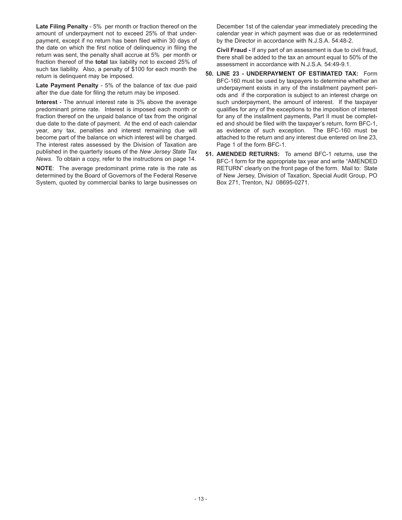**Late Filing Penalty** - 5% per month or fraction thereof on the amount of underpayment not to exceed 25% of that underpayment, except if no return has been filed within 30 days of the date on which the first notice of delinquency in filing the return was sent, the penalty shall accrue at 5% per month or fraction thereof of the **total** tax liability not to exceed 25% of such tax liability. Also, a penalty of \$100 for each month the return is delinquent may be imposed.

**Late Payment Penalty** - 5% of the balance of tax due paid after the due date for filing the return may be imposed.

**Interest** - The annual interest rate is 3% above the average predominant prime rate. Interest is imposed each month or fraction thereof on the unpaid balance of tax from the original due date to the date of payment. At the end of each calendar year, any tax, penalties and interest remaining due will become part of the balance on which interest will be charged. The interest rates assessed by the Division of Taxation are published in the quarterly issues of the *New Jersey State Tax News*. To obtain a copy, refer to the instructions on page 14.

**NOTE**: The average predominant prime rate is the rate as determined by the Board of Governors of the Federal Reserve System, quoted by commercial banks to large businesses on

December 1st of the calendar year immediately preceding the calendar year in which payment was due or as redetermined by the Director in accordance with N.J.S.A. 54:48-2.

**Civil Fraud -** If any part of an assessment is due to civil fraud, there shall be added to the tax an amount equal to 50% of the assessment in accordance with N.J.S.A. 54:49-9.1.

- **50. LINE 23 UNDERPAYMENT OF ESTIMATED TAX:** Form BFC-160 must be used by taxpayers to determine whether an underpayment exists in any of the installment payment periods and if the corporation is subject to an interest charge on such underpayment, the amount of interest. If the taxpayer qualifies for any of the exceptions to the imposition of interest for any of the installment payments, Part II must be completed and should be filed with the taxpayer's return, form BFC-1, as evidence of such exception. The BFC-160 must be attached to the return and any interest due entered on line 23, Page 1 of the form BFC-1.
- **51. AMENDED RETURNS:** To amend BFC-1 returns, use the BFC-1 form for the appropriate tax year and write "AMENDED RETURN" clearly on the front page of the form. Mail to: State of New Jersey, Division of Taxation, Special Audit Group, PO Box 271, Trenton, NJ 08695-0271.